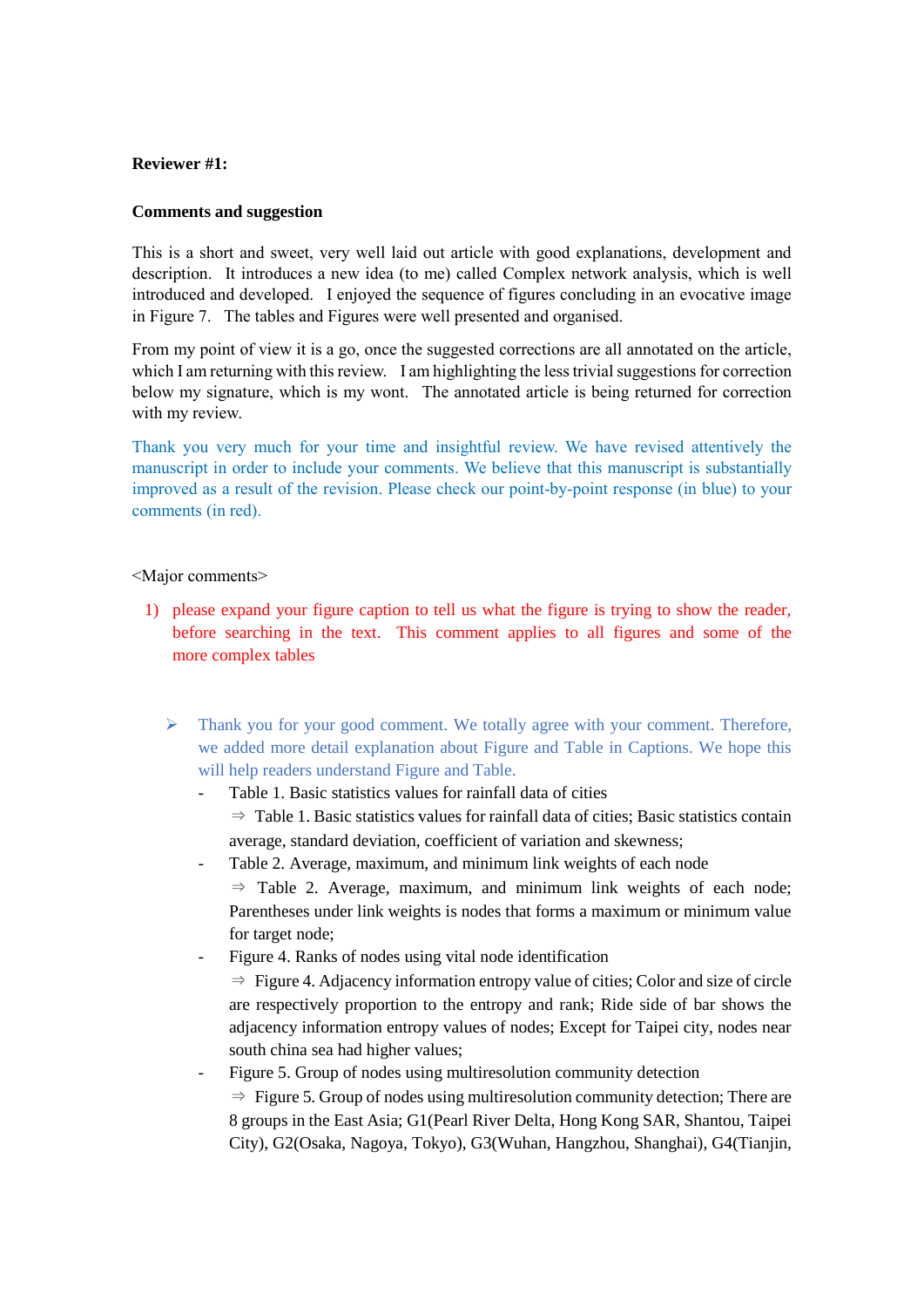## **Reviewer #1:**

### **Comments and suggestion**

This is a short and sweet, very well laid out article with good explanations, development and description. It introduces a new idea (to me) called Complex network analysis, which is well introduced and developed. I enjoyed the sequence of figures concluding in an evocative image in Figure 7. The tables and Figures were well presented and organised.

From my point of view it is a go, once the suggested corrections are all annotated on the article, which I am returning with this review. I am highlighting the less trivial suggestions for correction below my signature, which is my wont. The annotated article is being returned for correction with my review.

Thank you very much for your time and insightful review. We have revised attentively the manuscript in order to include your comments. We believe that this manuscript is substantially improved as a result of the revision. Please check our point-by-point response (in blue) to your comments (in red).

### <Major comments>

- 1) please expand your figure caption to tell us what the figure is trying to show the reader, before searching in the text. This comment applies to all figures and some of the more complex tables
	- $\triangleright$  Thank you for your good comment. We totally agree with your comment. Therefore, we added more detail explanation about Figure and Table in Captions. We hope this will help readers understand Figure and Table.
		- Table 1. Basic statistics values for rainfall data of cities ⇒ Table 1. Basic statistics values for rainfall data of cities; Basic statistics contain average, standard deviation, coefficient of variation and skewness;
		- Table 2. Average, maximum, and minimum link weights of each node
			- $\Rightarrow$  Table 2. Average, maximum, and minimum link weights of each node; Parentheses under link weights is nodes that forms a maximum or minimum value for target node;
		- Figure 4. Ranks of nodes using vital node identification
			- ⇒ Figure 4. Adjacency information entropy value of cities; Color and size of circle are respectively proportion to the entropy and rank; Ride side of bar shows the adjacency information entropy values of nodes; Except for Taipei city, nodes near south china sea had higher values;
		- Figure 5. Group of nodes using multiresolution community detection
			- $\Rightarrow$  Figure 5. Group of nodes using multiresolution community detection; There are 8 groups in the East Asia; G1(Pearl River Delta, Hong Kong SAR, Shantou, Taipei City), G2(Osaka, Nagoya, Tokyo), G3(Wuhan, Hangzhou, Shanghai), G4(Tianjin,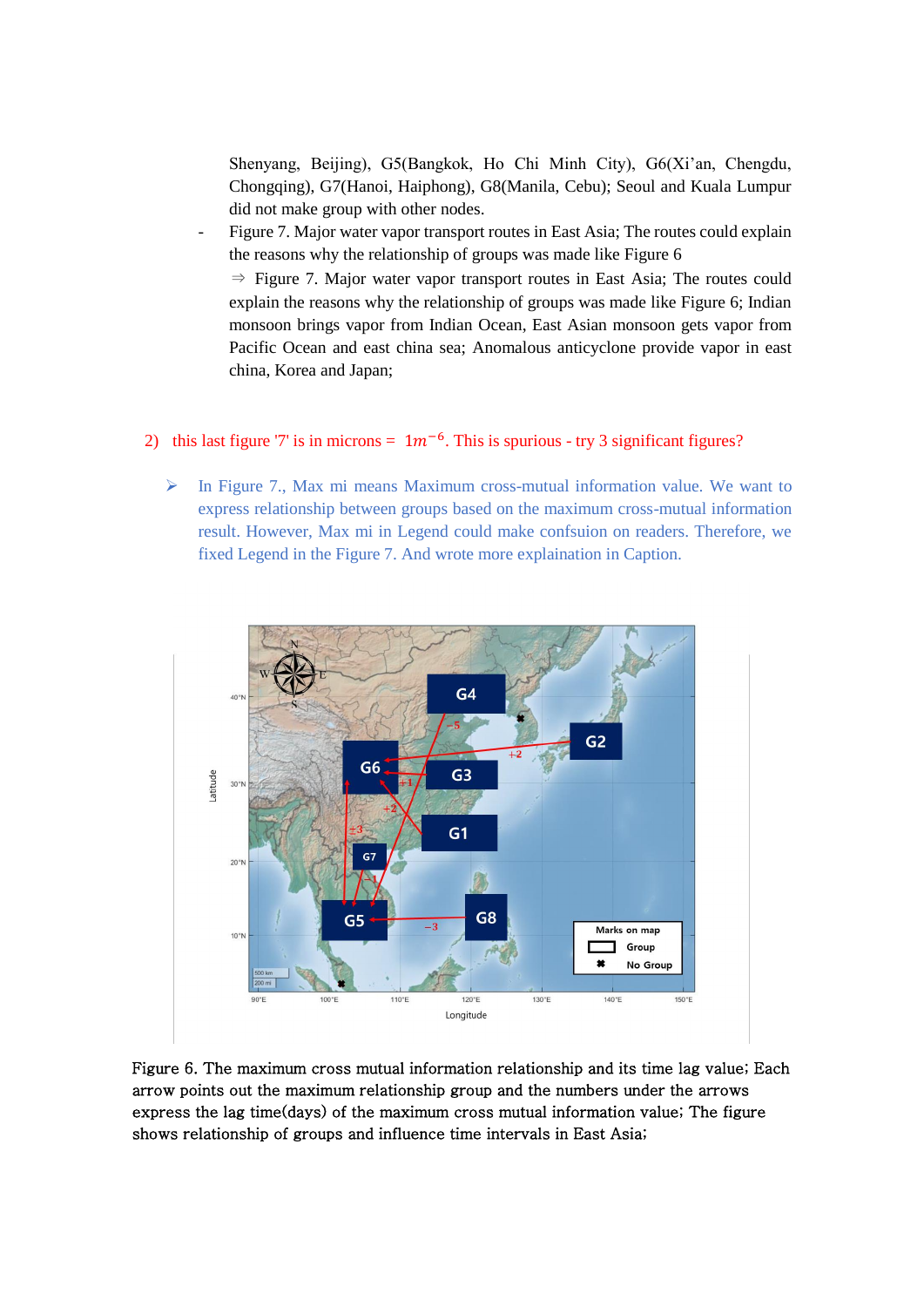Shenyang, Beijing), G5(Bangkok, Ho Chi Minh City), G6(Xi'an, Chengdu, Chongqing), G7(Hanoi, Haiphong), G8(Manila, Cebu); Seoul and Kuala Lumpur did not make group with other nodes.

Figure 7. Major water vapor transport routes in East Asia; The routes could explain the reasons why the relationship of groups was made like Figure 6

⇒ Figure 7. Major water vapor transport routes in East Asia; The routes could explain the reasons why the relationship of groups was made like Figure 6; Indian monsoon brings vapor from Indian Ocean, East Asian monsoon gets vapor from Pacific Ocean and east china sea; Anomalous anticyclone provide vapor in east china, Korea and Japan;

# 2) this last figure '7' is in microns =  $1m^{-6}$ . This is spurious - try 3 significant figures?

 $\triangleright$  In Figure 7., Max mi means Maximum cross-mutual information value. We want to express relationship between groups based on the maximum cross-mutual information result. However, Max mi in Legend could make confsuion on readers. Therefore, we fixed Legend in the Figure 7. And wrote more explaination in Caption.



Figure 6. The maximum cross mutual information relationship and its time lag value; Each arrow points out the maximum relationship group and the numbers under the arrows express the lag time(days) of the maximum cross mutual information value; The figure shows relationship of groups and influence time intervals in East Asia;